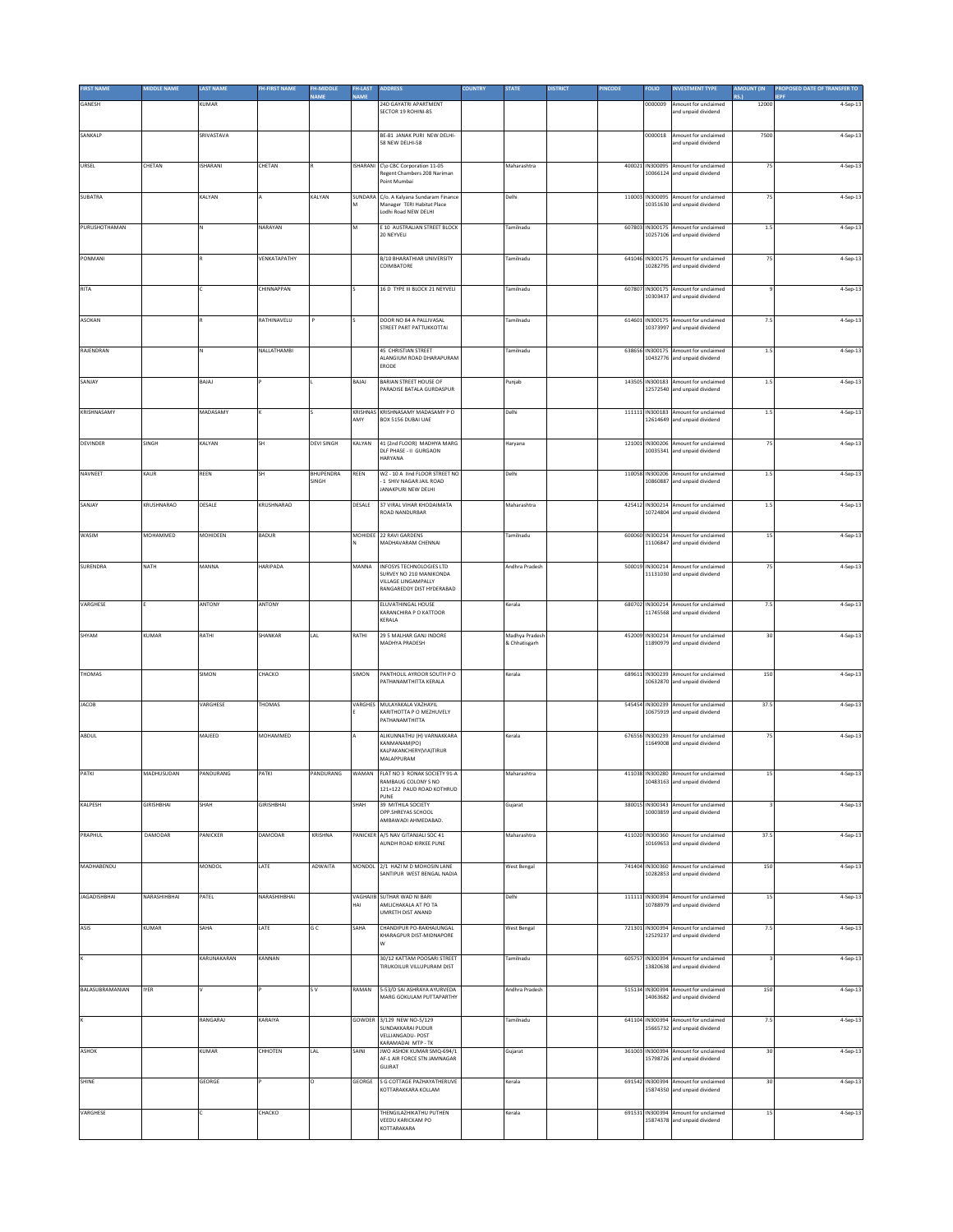| <b>IRST NAME</b>       | <b><i>AIDDLE NAME</i></b> | <b>LAST NAME</b> | <b>FH-FIRST NAME</b> | H-MIDDLE<br><b>JAMF</b> | <b>FH-LAST</b><br><b>JAMF</b> | <b>ADDRESS</b>                                                                                          | <b>COUNTRY</b> | <b>STATE</b>                    | <b>DISTRICT</b> | <b>INCODE</b> | <b>FOLIO</b>                | NVESTMENT TYPE                                                       | <b>AMOUNT (IN</b><br><b>C</b> | PROPOSED DATE OF TRANSFER TO<br>FPF |
|------------------------|---------------------------|------------------|----------------------|-------------------------|-------------------------------|---------------------------------------------------------------------------------------------------------|----------------|---------------------------------|-----------------|---------------|-----------------------------|----------------------------------------------------------------------|-------------------------------|-------------------------------------|
| GANESH                 |                           | KUMAR            |                      |                         |                               | 24D GAYATRI APARTMENT<br><b>SECTOR 19 ROHINI-85</b>                                                     |                |                                 |                 |               | 0000009                     | Amount for unclaimed<br>and unpaid dividend                          | 12000                         | 4-Sep-13                            |
| SANKALP                |                           | SRIVASTAVA       |                      |                         |                               | BE-81 JANAK PURI NEW DELHI-<br>58 NEW DELHI-58                                                          |                |                                 |                 |               | 0000018                     | Amount for unclaimed<br>and unpaid dividend                          | 7500                          | 4-Sep-13                            |
| URSEL                  | CHETAN                    | <b>ISHARANI</b>  | CHETAN               |                         |                               | ISHARANI C\o CBC Corporation 11-05                                                                      |                | Maharashtra                     |                 |               | 400021 IN300095             | Amount for unclaimed                                                 | 75                            | 4-Sep-13                            |
|                        |                           |                  |                      |                         |                               | Regent Chambers 208 Nariman<br>Point Mumbai                                                             |                |                                 |                 |               |                             | 10066124 and unpaid dividend                                         |                               |                                     |
| <b>SUBATRA</b>         |                           | KALYAN           |                      | KALYAN                  |                               | SUNDARA C/o. A Kalyana Sundaram Finance<br>Manager TERI Habitat Place<br>Lodhi Road NEW DELHI           |                | Delhi                           |                 |               |                             | 110003 IN300095 Amount for unclaimed<br>10351630 and unpaid dividend | 75                            | 4-Sep-13                            |
| PURUSHOTHAMAN          |                           | $\mathbf{N}$     | NARAYAN              |                         | M                             | E 10 AUSTRALIAN STREET BLOCK<br>20 NEYVELI                                                              |                | Tamilnadu                       |                 |               | 607803 IN300175<br>10257106 | Amount for unclaimed<br>and unpaid dividend                          | 1.5                           | 4-Sep-13                            |
| PONMANI                |                           |                  | VENKATAPATHY         |                         |                               | <b>B/10 BHARATHIAR UNIVERSITY</b><br>COIMBATORE                                                         |                | Tamilnadu                       |                 |               | 641046 IN300175<br>10282795 | Amount for unclaimed                                                 | 75                            | 4-Sep-13                            |
| RITA                   |                           |                  | CHINNAPPAN           |                         |                               | 16 D TYPE III BLOCK 21 NEYVELI                                                                          |                | Tamilnadu                       |                 |               | 607807 IN300175             | and unpaid dividend<br>Amount for unclaimed                          |                               | 4-Sep-13                            |
|                        |                           |                  |                      |                         |                               |                                                                                                         |                |                                 |                 |               |                             | 10303437 and unpaid dividend                                         |                               |                                     |
| ASOKAN                 |                           |                  | RATHINAVELU          |                         |                               | DOOR NO 84 A PALLIVASAL<br>STREET PART PATTUKKOTTAI                                                     |                | Tamilnadu                       |                 |               | 614601 IN300175<br>10373997 | Amount for unclaimed<br>and unpaid dividend                          | 7.5                           | 4-Sep-13                            |
| RAJENDRAN              |                           |                  | NALLATHAMBI          |                         |                               | 45 CHRISTIAN STREET<br>ALANGIUM ROAD DHARAPURAM                                                         |                | Tamilnadu                       |                 |               |                             | 638656 IN300175 Amount for unclaimed<br>10432776 and unpaid dividend | 1.5                           | 4-Sep-13                            |
| SANJAY                 |                           | BAJAJ            |                      |                         | BAJAJ                         | ERODE<br><b>BARIAN STREET HOUSE OF</b>                                                                  |                | Punjab                          |                 |               |                             | 143505 IN300183 Amount for unclaimed                                 | $1.5\,$                       | 4-Sep-13                            |
|                        |                           |                  |                      |                         |                               | PARADISE BATALA GURDASPUR                                                                               |                |                                 |                 |               |                             | 12572540 and unpaid dividend                                         |                               |                                     |
| KRISHNASAMY            |                           | MADASAMY         |                      |                         | KRISHNAS<br>AMY               | KRISHNASAMY MADASAMY PO<br>BOX 5156 DUBAI UAE                                                           |                | Delhi                           |                 |               |                             | 111111 IN300183 Amount for unclaimed<br>12614649 and unnaid dividend | $1.5$                         | 4-Sep-13                            |
| DEVINDER               | SINGH                     | KALYAN           | ŚН                   | <b>DEVI SINGH</b>       | KALYAN                        | 41 (2nd FLOOR) MADHYA MARG<br>DLF PHASE - II GURGAON<br>HARYANA                                         |                | Haryana                         |                 |               | 121001 IN300206             | Amount for unclaimed<br>10035341 and unpaid dividend                 | 75                            | 4-Sep-13                            |
| NAVNEET                | KAUR                      | REEN             | SH                   | BHUPENDRA<br>SINGH      | REEN                          | WZ - 10 A lind FLOOR STREET NO<br>- 1 SHIV NAGAR JAIL ROAD                                              |                | Delhi                           |                 |               | 110058 IN300206<br>10860887 | Amount for unclaimed<br>and unpaid dividend                          | 1.5                           | 4-Sep-13                            |
| SANJAY                 | KRUSHNARAO                | DESALE           | KRUSHNARAO           |                         | DESALE                        | JANAKPURI NEW DELHI<br>37 VIRAL VIHAR KHODAIMATA                                                        |                | Maharashtra                     |                 |               |                             | 425412 IN300214 Amount for unclaimed                                 | 1.5                           | 4-Sep-13                            |
|                        |                           |                  |                      |                         |                               | ROAD NANDURBAR                                                                                          |                |                                 |                 |               | 10724804                    | and unpaid dividend                                                  |                               |                                     |
| WASIM                  | MOHAMMED                  | MOHIDEEN         | BADUR                |                         |                               | MOHIDEE 22 RAVI GARDENS<br>MADHAVARAM CHENNAI                                                           |                | Tamilnadu                       |                 |               | 600060 IN300214<br>11106847 | Amount for unclaimed<br>and unpaid dividend                          | 15                            | 4-Sep-13                            |
| SURENDRA               | NATH                      | MANNA            | <b>HARIPADA</b>      |                         | MANNA                         | INFOSYS TECHNOLOGIES LTD<br>SURVEY NO 210 MANIKONDA<br>VILLAGE LINGAMPALLY<br>RANGAREDDY DIST HYDERABAD |                | Andhra Pradesh                  |                 |               |                             | 500019 IN300214 Amount for unclaimed<br>11131030 and unpaid dividend | 75                            | 4-Sep-13                            |
| VARGHESE               |                           | ANTONY           | ANTONY               |                         |                               | ELUVATHINGAL HOUSE<br>KARANCHIRA P O KATTOOR<br>KERALA                                                  |                | Kerala                          |                 |               | 11745568                    | 680702 IN300214 Amount for unclaimed<br>and unpaid dividend          | 7.5                           | 4-Sep-13                            |
| SHYAM                  | KUMAR                     | RATHI            | SHANKAR              | LAL                     | RATHI                         | 29 5 MALHAR GANJ INDORE<br>MADHYA PRADESH                                                               |                | Madhya Pradesh<br>& Chhatisgarh |                 |               | 452009 IN300214             | Amount for unclaimed<br>11890979 and unpaid dividend                 | 30                            | 4-Sep-13                            |
|                        |                           |                  |                      |                         |                               |                                                                                                         |                |                                 |                 |               |                             |                                                                      |                               |                                     |
| THOMAS                 |                           | SIMON            | CHACKO               |                         | SIMON                         | PANTHOLIL AYROOR SOUTH PO<br>PATHANAMTHITTA KERALA                                                      |                | Kerala                          |                 |               | 689611 IN300239<br>10632870 | Amount for unclaimed<br>and unpaid dividend                          | 150                           | 4-Sep-13                            |
| <b>JACOB</b>           |                           | VARGHESE         | THOMAS               |                         | VARGHES                       | MULAYAKALA VAZHAYIL<br>KARITHOTTA P O MEZHUVELY<br>PATHANAMTHITTA                                       |                |                                 |                 |               |                             | 545454 IN300239 Amount for unclaimed<br>10675919 and unpaid dividend | 37.5                          | 4-Sep-13                            |
| ABDUL                  |                           | MAJEED           | MOHAMMED             |                         |                               | ALIKUNNATHU (H) VARNAKKARA                                                                              |                | Kerala                          |                 |               |                             | 676556 IN300239 Amount for unclaimed                                 | 75                            | 4-Sep-13                            |
|                        |                           |                  |                      |                         |                               | KANMANAM(PO)<br>KALPAKANCHERY(VIA)TIRUR<br>MALAPPURAM                                                   |                |                                 |                 |               | 11649008                    | and unpaid dividend                                                  |                               |                                     |
| PATKI                  | MADHUSUDAN                | PANDURANG        | PATKI                | PANDURANG               | WAMAN                         | FLAT NO 3 RONAK SOCIETY 91-A<br>RAMBAUG COLONY S NO<br>121+122 PAUD ROAD KOTHRUD                        |                | Maharashtra                     |                 |               |                             | 411038 IN300280 Amount for unclaimed<br>10483163 and unpaid dividend | 15                            | 4-Sep-13                            |
| KALPESH                | GIRISHBHAI                | SHAH             | <b>GIRISHBHAI</b>    |                         | SHAH                          | PUNE<br>39 MITHILA SOCIETY<br>OPP.SHREYAS SCHOOL                                                        |                | Gujarat                         |                 |               |                             | 380015 IN300343 Amount for unclaimed<br>10003859 and unpaid dividend |                               | 4-Sep-13                            |
|                        |                           |                  |                      |                         |                               | AMBAWADI AHMEDABAD.                                                                                     |                |                                 |                 |               |                             |                                                                      |                               |                                     |
| PRAPHUL                | DAMODAR                   | PANICKER         | DAMODAR              | KRISHNA                 |                               | PANICKER A/5 NAV GITANJALI SOC 41<br>AUNDH ROAD KIRKEE PUNE                                             |                | Maharashtra                     |                 |               |                             | 411020 IN300360 Amount for unclaimed<br>10169653 and unpaid dividend | 37.5                          | 4-Sep-13                            |
| MADHABENDU             |                           | MONDOL           | LATE                 | ADWAITA                 |                               | MONDOL 2/1 HAZI M D MOHOSIN LANE<br>SANTIPUR WEST BENGAL NADIA                                          |                | <b>West Bengal</b>              |                 |               |                             | 741404 IN300360 Amount for unclaimed<br>10282853 and unpaid dividend | 150                           | 4-Sep-13                            |
| <b>JAGADISHBHAI</b>    | NARASHIHBHAI              | PATEL            | NARASHIHBHAI         |                         | HAI                           | VAGHAIIB SUTHAR WAD NI BARI<br>AMLICHAKALA AT PO TA                                                     |                | Delhi                           |                 |               |                             | 111111 IN300394 Amount for unclaimed<br>10788979 and unpaid dividend | 15                            | 4-Sep-13                            |
| ASIS                   | KUMAR                     | SAHA             | LATE                 | GC                      | SAHA                          | UMRETH DIST ANAND<br>CHANDIPUR PO-RAKHAJUNGAL                                                           |                | <b>West Bengal</b>              |                 |               | 721301 IN300394             | Amount for unclaimed                                                 | 7.5                           | 4-Sep-13                            |
|                        |                           |                  |                      |                         |                               | KHARAGPUR DIST-MIDNAPORE                                                                                |                |                                 |                 |               | 12529237                    | and unpaid dividend                                                  |                               |                                     |
|                        |                           | KARUNAKARAN      | KANNAN               |                         |                               | 30/12 KATTAM POOSARI STREET<br>TIRUKOILUR VILLUPURAM DIST                                               |                | Tamilnadu                       |                 |               |                             | 605757 IN300394 Amount for unclaimed<br>13820638 and unpaid dividend |                               | 4-Sep-13                            |
| <b>BALASUBRAMANIAN</b> | <b>IYER</b>               |                  |                      | s v                     | RAMAN                         | 5-53/D SAI ASHRAYA AYURVEDA<br>MARG GOKULAM PUTTAPARTHY                                                 |                | Andhra Pradesh                  |                 |               |                             | 515134 IN300394 Amount for unclaimed<br>14063682 and unpaid dividend | 150                           | 4-Sep-13                            |
|                        |                           | RANGARAJ         | KARAIYA              |                         | GOWDER                        | 3/129 NEW NO-5/129                                                                                      |                | Tamilnadu                       |                 |               | 641104 IN300394             | Amount for unclaimed                                                 | 7.5                           | 4-Sep-13                            |
|                        |                           | KUMAR            | CHHOTEN              | LAL                     |                               | SUNDAKKARAI PUDUR<br><b>VELLIANGADU- POST</b><br>KARAMADAI MTP - TK<br>JWO ASHOK KUMAR SMQ-694/1        |                |                                 |                 |               | 15665732                    | and unpaid dividend                                                  |                               |                                     |
| ASHOK                  |                           |                  |                      |                         | SAINI                         | AF-1 AIR FORCE STN JAMNAGAR<br>GUJRAT                                                                   |                | Gujarat                         |                 |               | 361003 IN300394             | Amount for unclaimed<br>15798726 and unpaid dividend                 | 30                            | 4-Sep-13                            |
| SHINE                  |                           | GEORGE           |                      | o                       | GEORGE                        | S G COTTAGE PAZHAYATHERUVE<br>KOTTARAKKARA KOLLAM                                                       |                | Kerala                          |                 |               |                             | 691542 IN300394 Amount for unclaimed<br>15874350 and unpaid dividend | 30                            | 4-Sep-13                            |
| VARGHESE               |                           |                  | CHACKO               |                         |                               | THENGILAZHIKATHU PUTHEN<br>VEEDU KARICKAM PO                                                            |                | Kerala                          |                 |               | 691531 IN300394             | Amount for unclaimed<br>15874378 and unpaid dividend                 | 15                            | 4-Sep-13                            |
|                        |                           |                  |                      |                         |                               | KOTTARAKARA                                                                                             |                |                                 |                 |               |                             |                                                                      |                               |                                     |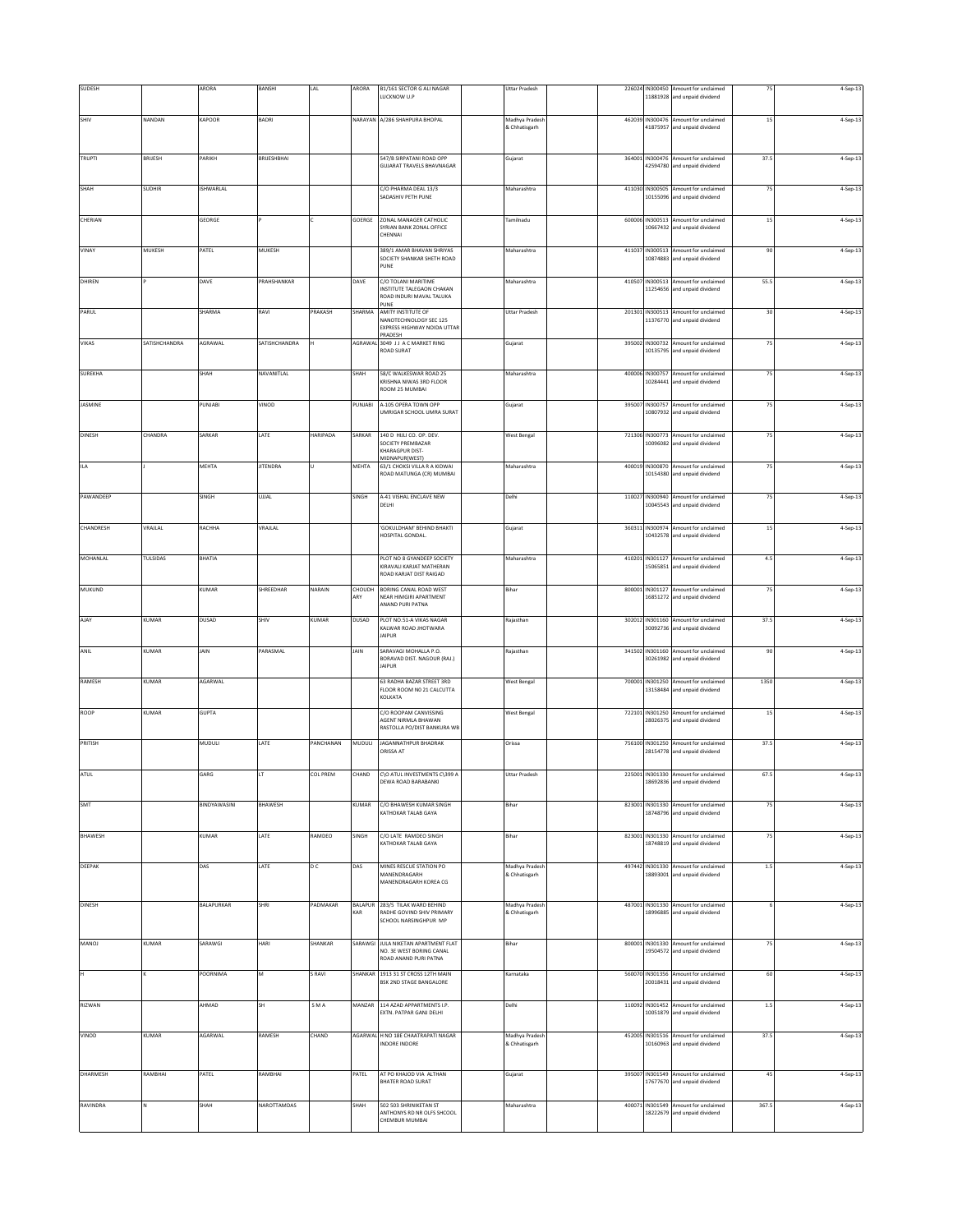| SUDESH         |               | ARORA            | BANSHI          | LAL             | ARORA                        | B1/161 SECTOR G ALI NAGAR                                    | <b>Uttar Pradesh</b>            |  |                             | 226024 IN300450 Amount for unclaimed                                 | 75      | 4-Sep-13   |
|----------------|---------------|------------------|-----------------|-----------------|------------------------------|--------------------------------------------------------------|---------------------------------|--|-----------------------------|----------------------------------------------------------------------|---------|------------|
|                |               |                  |                 |                 |                              | LUCKNOW U.P                                                  |                                 |  | 11881928                    | and unpaid dividend                                                  |         |            |
| SHIV           | NANDAN        | KAPOOR           | BADRI           |                 |                              | NARAYAN A/286 SHAHPURA BHOPAL                                | Madhya Pradesh                  |  |                             | 462039 IN300476 Amount for unclaimed                                 | 15      | 4-Sep-13   |
|                |               |                  |                 |                 |                              |                                                              | & Chhatisgarh                   |  |                             | 41875957 and unpaid dividend                                         |         |            |
|                |               |                  |                 |                 |                              |                                                              |                                 |  |                             |                                                                      |         |            |
| <b>TRUPTI</b>  | <b>BRUESH</b> | PARIKH           | BRIJESHBHAI     |                 |                              | 547/B SIRPATANI ROAD OPP                                     | Gujarat                         |  |                             | 364001 IN300476 Amount for unclaimed                                 | 37.5    | 4-Sep-13   |
|                |               |                  |                 |                 |                              | <b>GUJARAT TRAVELS BHAVNAGAR</b>                             |                                 |  | 42594780                    | and unpaid dividend                                                  |         |            |
| SHAH           | <b>SUDHIR</b> | <b>ISHWARLAL</b> |                 |                 |                              | C/O PHARMA DEAL 13/3                                         | Maharashtra                     |  |                             | 411030 IN300505 Amount for unclaimed                                 | 75      | 4-Sep-13   |
|                |               |                  |                 |                 |                              | SADASHIV PETH PUNE                                           |                                 |  |                             | 10155096 and unpaid dividend                                         |         |            |
|                |               |                  |                 |                 |                              |                                                              |                                 |  |                             |                                                                      |         |            |
| CHERIAN        |               | GEORGE           |                 |                 | GOERGE                       | ZONAL MANAGER CATHOLIC<br>SYRIAN BANK ZONAL OFFICE           | Tamilnadu                       |  | 600006 IN300513<br>10667432 | Amount for unclaimed<br>and unpaid dividend                          | 15      | 4-Sep-13   |
|                |               |                  |                 |                 |                              | CHENNAI                                                      |                                 |  |                             |                                                                      |         |            |
| VINAY          | MUKESH        | PATEL            | MUKESH          |                 |                              | 389/1 AMAR BHAVAN SHRIYAS<br>SOCIETY SHANKAR SHETH ROAD      | Maharashtra                     |  | 10874883                    | 411037 IN300513 Amount for unclaimed<br>and unpaid dividend          | 90      | 4-Sep-13   |
|                |               |                  |                 |                 |                              | PUNE                                                         |                                 |  |                             |                                                                      |         |            |
| DHIREN         |               | DAVE             | PRAHSHANKAR     |                 | DAVE                         | C/O TOLANI MARITIME                                          | Maharashtra                     |  |                             | 410507 IN300513 Amount for unclaimed                                 | 55.5    | 4-Sep-13   |
|                |               |                  |                 |                 |                              | INSTITUTE TALEGAON CHAKAN<br>ROAD INDURI MAVAL TALUKA        |                                 |  |                             | 11254656 and unpaid dividend                                         |         |            |
| PARUL          |               | SHARMA           | RAVI            | PRAKASH         | SHARMA                       | PUNE<br>AMITY INSTITUTE OF                                   | <b>Uttar Pradesh</b>            |  | 201301 IN300513             | Amount for unclaimed                                                 | 30      | 4-Sep-13   |
|                |               |                  |                 |                 |                              | NANOTECHNOLOGY SEC 125<br>EXPRESS HIGHWAY NOIDA UTTAR        |                                 |  |                             | 11376770 and unpaid dividend                                         |         |            |
| VIKAS          | SATISHCHANDRA | AGRAWAL          | SATISHCHANDRA   |                 |                              | PRADESH<br>AGRAWAL 3049 JJ A C MARKET RING                   | Gujarat                         |  |                             | 395002 IN300732 Amount for unclaimed                                 | 75      | 4-Sep-13   |
|                |               |                  |                 |                 |                              | <b>ROAD SURAT</b>                                            |                                 |  |                             | 10135795 and unpaid dividend                                         |         |            |
|                |               |                  |                 |                 |                              |                                                              |                                 |  |                             |                                                                      |         |            |
| <b>SUREKHA</b> |               | SHAH             | NAVANITLAL      |                 | SHAH                         | 58/C WALKESWAR ROAD 25<br>KRISHNA NIWAS 3RD FLOOR            | Maharashtra                     |  |                             | 400006 IN300757 Amount for unclaimed<br>10284441 and unpaid dividend | 75      | 4-Sep-13   |
|                |               |                  |                 |                 |                              | ROOM 25 MUMBAI                                               |                                 |  |                             |                                                                      |         |            |
| JASMINE        |               | PUNJABI          | VINOD           |                 | PUNJABI                      | A-105 OPERA TOWN OPP                                         | Gujarat                         |  | 395007 IN300757             | Amount for unclaimed                                                 | 75      | 4-Sep-13   |
|                |               |                  |                 |                 |                              | UMRIGAR SCHOOL UMRA SURAT                                    |                                 |  |                             | 10807932 and unpaid dividend                                         |         |            |
| <b>DINESH</b>  | CHANDRA       | SARKAR           | LATE            | HARIPADA        | SARKAR                       | 140 D HIJLI CO. OP. DEV.                                     | <b>West Bengal</b>              |  | 721306 IN300773             | Amount for unclaimed                                                 | 75      | 4-Sep-13   |
|                |               |                  |                 |                 |                              | SOCIETY PREMBAZAR<br><b>KHARAGPUR DIST-</b>                  |                                 |  |                             | 10096082 and unpaid dividend                                         |         |            |
|                |               |                  |                 |                 |                              | MIDNAPUR(WEST)<br>63/1 CHOKSI VILLA R A KIDWAI               |                                 |  |                             |                                                                      | 75      |            |
| ILA            |               | MEHTA            | JITENDRA        |                 | MEHTA                        | ROAD MATUNGA (CR) MUMBAI                                     | Maharashtra                     |  | 10154380                    | 400019 IN300870 Amount for unclaimed<br>and unpaid dividend          |         | 4-Sep-13   |
|                |               |                  |                 |                 |                              |                                                              |                                 |  |                             |                                                                      |         |            |
| PAWANDEEP      |               | SINGH            | UJJAL           |                 | SINGH                        | A-41 VISHAL ENCLAVE NEW<br>DELHI                             | Delhi                           |  |                             | 110027 IN300940 Amount for unclaimed<br>10045543 and unpaid dividend | 75      | 4-Sep-13   |
|                |               |                  |                 |                 |                              |                                                              |                                 |  |                             |                                                                      |         |            |
| CHANDRESH      | VRAJLAL       | RACHHA           | VRAJLAL         |                 |                              | 'GOKULDHAM' BEHIND BHAKTI                                    | Gujarat                         |  |                             | 360311 IN300974 Amount for unclaimed                                 | 15      | 4-Sep-13   |
|                |               |                  |                 |                 |                              | HOSPITAL GONDAL.                                             |                                 |  |                             | 10432578 and unpaid dividend                                         |         |            |
| MOHANLAL       | TULSIDAS      | BHATIA           |                 |                 |                              | PLOT NO 8 GYANDEEP SOCIETY                                   | Maharashtra                     |  | 410201 IN301127             | Amount for unclaimed                                                 | 4.5     | 4-Sep-13   |
|                |               |                  |                 |                 |                              | KIRAVALI KARJAT MATHERAN<br>ROAD KARJAT DIST RAIGAD          |                                 |  | 15065851                    | and unpaid dividend                                                  |         |            |
|                |               |                  |                 |                 |                              |                                                              |                                 |  |                             |                                                                      |         |            |
| MUKUND         |               | KUMAR            | <b>HREEDHAR</b> | NARAIN          | CHOUDH<br>ARY                | BORING CANAL ROAD WEST<br>NEAR HIMGIRI APARTMENT             | Bihar                           |  | 800001 IN301127             | Amount for unclaimed<br>16851272 and unpaid dividend                 | 75      | $4-Sep-13$ |
|                |               |                  |                 |                 |                              | ANAND PURI PATNA                                             |                                 |  |                             |                                                                      |         |            |
| AJAY           | KUMAR         | <b>DUSAD</b>     | SHIV            | KUMAR           | DUSAD                        | PLOT NO.51-A VIKAS NAGAR<br>KALWAR ROAD JHOTWARA             | Rajasthan                       |  | 30092736                    | 302012 IN301160 Amount for unclaimed<br>and unpaid dividend          | 37.5    | 4-Sep-13   |
|                |               |                  |                 |                 |                              | <b>JAIPUR</b>                                                |                                 |  |                             |                                                                      |         |            |
| ANIL           | KUMAR         | JAIN             | PARASMAL        |                 | JAIN                         | SARAVAGI MOHALLA P.O.                                        | Rajasthan                       |  |                             | 341502 IN301160 Amount for unclaimed                                 | 90      | 4-Sep-13   |
|                |               |                  |                 |                 |                              | BORAVAD DIST. NAGOUR (RAJ.)<br><b>JAIPUR</b>                 |                                 |  |                             | 30261982 and unpaid dividend                                         |         |            |
| RAMESH         | KUMAR         | AGARWAL          |                 |                 |                              | 63 RADHA BAZAR STREET 3RD                                    | West Bengal                     |  |                             | 700001 IN301250 Amount for unclaimed                                 | 1350    | 4-Sep-13   |
|                |               |                  |                 |                 |                              | FLOOR ROOM NO 21 CALCUTTA<br>KOLKATA                         |                                 |  |                             | 13158484 and unpaid dividend                                         |         |            |
|                |               |                  |                 |                 |                              |                                                              |                                 |  |                             |                                                                      |         |            |
| ROOP           | <b>KUMAR</b>  | <b>GUPTA</b>     |                 |                 |                              | C/O ROOPAM CANVISSING<br>AGENT NIRMLA BHAWAN                 | <b>West Bengal</b>              |  | 722101 IN301250<br>28026375 | Amount for unclaimed<br>and unpaid dividend                          | 15      | 4-Sep-13   |
|                |               |                  |                 |                 |                              | RASTOLLA PO/DIST BANKURA WE                                  |                                 |  |                             |                                                                      |         |            |
| PRITISH        |               | MUDULI           | LATE            | PANCHANAN       | MUDULI                       | <b>JAGANNATHPUR BHADRAK</b><br>ORISSA AT                     | Orissa                          |  |                             | 756100 IN301250 Amount for unclaimed<br>28154778 and unpaid dividend | 37.5    | 4-Sep-13   |
|                |               |                  |                 |                 |                              |                                                              |                                 |  |                             |                                                                      |         |            |
| ATUL           |               | GARG             | LT              | <b>COL PREM</b> | CHAND                        | C\O ATUL INVESTMENTS C\399 A                                 | <b>Uttar Pradesh</b>            |  |                             | 225001 IN301330 Amount for unclaimed                                 | 67.5    | 4-Sep-13   |
|                |               |                  |                 |                 |                              | DEWA ROAD BARABANKI                                          |                                 |  |                             | 18692836 and unpaid dividend                                         |         |            |
| SMT            |               | BINDYAWASINI     | BHAWESH         |                 | <b>KUMAR</b>                 | C/O BHAWESH KUMAR SINGH                                      | Bihar                           |  |                             | 823001 IN301330 Amount for unclaimed                                 | 75      | 4-Sep-13   |
|                |               |                  |                 |                 |                              | KATHOKAR TALAB GAYA                                          |                                 |  |                             | 18748796 and unpaid dividend                                         |         |            |
|                |               |                  |                 |                 |                              |                                                              |                                 |  |                             |                                                                      |         |            |
| <b>BHAWESH</b> |               | KUMAR            | LATE            | RAMDEO          | SINGH                        | C/O LATE RAMDEO SINGH<br>KATHOKAR TALAB GAYA                 | Bihar                           |  | 823001 IN301330             | Amount for unclaimed<br>18748819 and unpaid dividend                 | 75      | 4-Sep-13   |
|                |               |                  |                 |                 |                              |                                                              |                                 |  |                             |                                                                      |         |            |
| <b>DEEPAK</b>  |               | DAS              | LATE            | DC              | DAS                          | MINES RESCUE STATION PO<br>MANENDRAGARH                      | Madhya Pradesh<br>& Chhatisgarh |  | 497442 IN301330<br>18893001 | Amount for unclaimed<br>and unpaid dividend                          | $1.5\,$ | 4-Sep-13   |
|                |               |                  |                 |                 |                              | MANENDRAGARH KOREA CG                                        |                                 |  |                             |                                                                      |         |            |
|                |               |                  |                 |                 |                              |                                                              |                                 |  |                             |                                                                      |         |            |
| <b>DINESH</b>  |               | BALAPURKAR       | SHRI            | PADMAKAR        | <b>BALAPUR</b><br><b>CAR</b> | 283/5 TILAK WARD BEHIND<br>RADHE GOVIND SHIV PRIMARY         | Madhya Pradesh<br>& Chhatisgarh |  | 18996885                    | 487001 IN301330 Amount for unclaimed<br>and unpaid dividend          | 6       | 4-Sep-13   |
|                |               |                  |                 |                 |                              | SCHOOL NARSINGHPUR MP                                        |                                 |  |                             |                                                                      |         |            |
|                |               |                  |                 |                 |                              |                                                              |                                 |  |                             |                                                                      |         |            |
| MANOJ          | KUMAR         | SARAWGI          | HARI            | SHANKAR         | SARAWGI                      | JULA NIKETAN APARTMENT FLAT<br>NO. 3E WEST BORING CANAL      | Bihar                           |  |                             | 800001 IN301330 Amount for unclaimed<br>19504572 and unpaid dividend | 75      | 4-Sep-13   |
|                |               |                  |                 |                 |                              | ROAD ANAND PURI PATNA                                        |                                 |  |                             |                                                                      |         |            |
| н              |               | POORNIMA         |                 | S RAVI          | SHANKAR                      | 1913 31 ST CROSS 12TH MAIN<br><b>BSK 2ND STAGE BANGALORE</b> | Karnataka                       |  | 560070 IN301356<br>20018431 | Amount for unclaimed<br>and unpaid dividend                          | 60      | 4-Sep-13   |
|                |               |                  |                 |                 |                              |                                                              |                                 |  |                             |                                                                      |         |            |
| RIZWAN         |               | AHMAD            | SH              | SMA             | MANZAR                       | 114 AZAD APPARTMENTS I.P.                                    | Delhi                           |  |                             | 110092 IN301452 Amount for unclaimed                                 | $1.5\,$ | 4-Sep-13   |
|                |               |                  |                 |                 |                              | EXTN. PATPAR GANJ DELHI                                      |                                 |  |                             | 10051879 and unpaid dividend                                         |         |            |
|                |               |                  |                 |                 |                              |                                                              |                                 |  |                             |                                                                      |         |            |
| VINOD          | KUMAR         | AGARWAL          | RAMESH          | CHAND           |                              | AGARWAL H NO 18E CHAATRAPATI NAGAR                           | Madhya Pradesh                  |  |                             | 452005 IN301516 Amount for unclaimed                                 | 37.5    | 4-Sep-13   |
|                |               |                  |                 |                 |                              | <b>INDORE INDORE</b>                                         | & Chhatisgarh                   |  |                             | 10160963 and unpaid dividend                                         |         |            |
|                |               |                  |                 |                 |                              |                                                              |                                 |  |                             |                                                                      |         |            |
| DHARMESH       | RAMBHAI       | PATEL            | RAMBHAI         |                 | PATEL                        | AT PO KHAJOD VIA ALTHAN                                      | Gujarat                         |  |                             | 395007 IN301549 Amount for unclaimed                                 | 45      | 4-Sep-13   |
|                |               |                  |                 |                 |                              | <b>BHATER ROAD SURAT</b>                                     |                                 |  |                             | 17677670 and unpaid dividend                                         |         |            |
| RAVINDRA       |               | SHAH             | NAROTTAMDAS     |                 | SHAH                         | 502 503 SHRINIKETAN ST                                       | Maharashtra                     |  | 400071 IN301549             | Amount for unclaimed                                                 | 367.5   | 4-Sep-13   |
|                |               |                  |                 |                 |                              | ANTHONYS RD NR OLFS SHCOOL<br>CHEMBUR MUMBAI                 |                                 |  |                             | 18222679 and unpaid dividend                                         |         |            |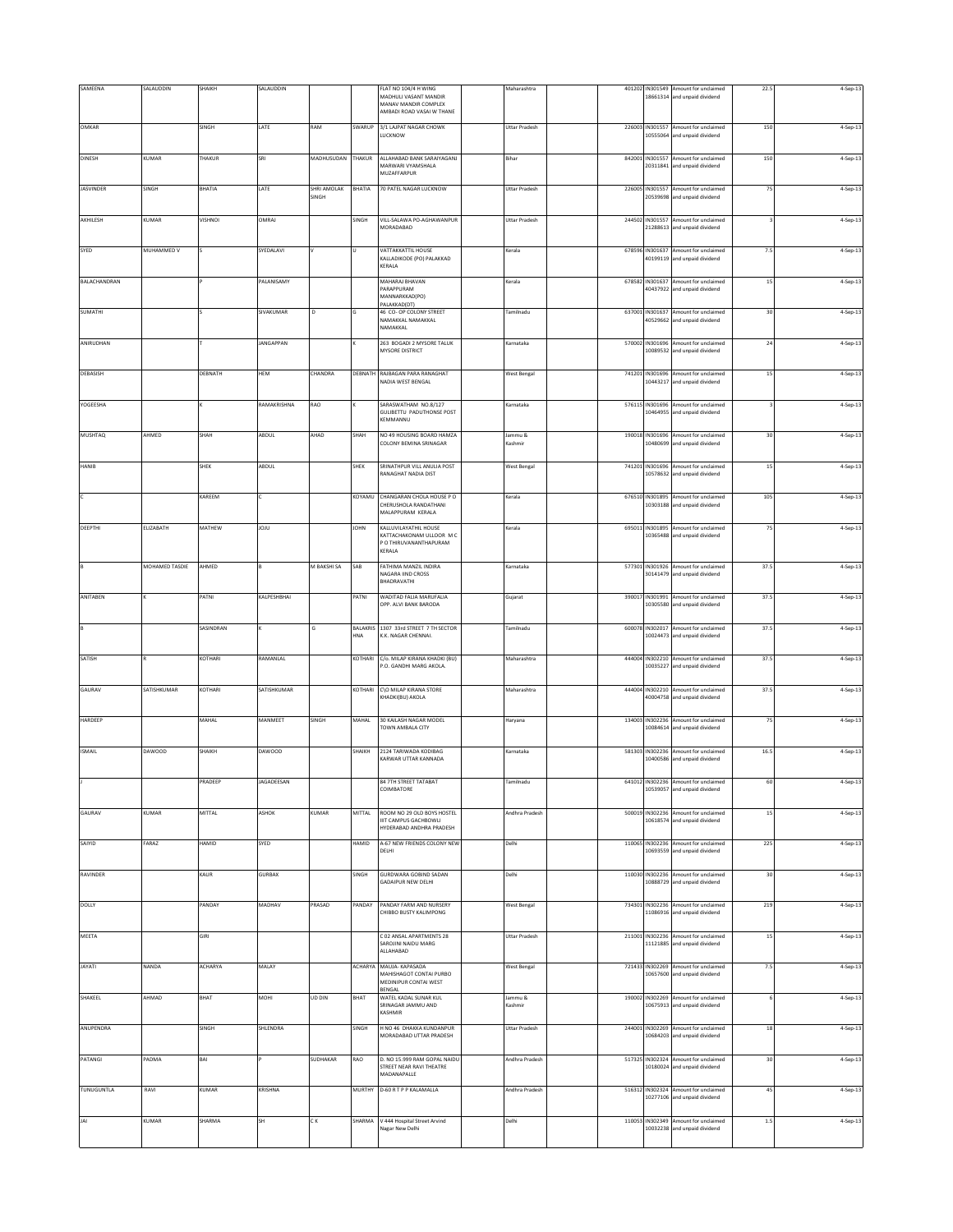| SAMEENA             | SALAUDDIN      | SHAIKH    | SALAUDDIN        |                      |             | FLAT NO 104/4 H WING<br>MADHULI VASANT MANDIR<br>MANAV MANDIR COMPLEX<br>AMBADI ROAD VASAI W THANE | Maharashtra          |        |                             | 401202 IN301549 Amount for unclaimed<br>18661314 and unpaid dividend | 22.5    | 4-Sep-13   |
|---------------------|----------------|-----------|------------------|----------------------|-------------|----------------------------------------------------------------------------------------------------|----------------------|--------|-----------------------------|----------------------------------------------------------------------|---------|------------|
| OMKAR               |                | SINGH     | LATE             | RAM                  | SWARUP      | 3/1 LAJPAT NAGAR CHOWK<br>LUCKNOW                                                                  | Uttar Pradesh        |        |                             | 226003 IN301557 Amount for unclaimed<br>10555064 and unpaid dividend | 150     | 4-Sep-13   |
| <b>DINESH</b>       | KUMAR          | THAKUR    | SRI              | MADHUSUDAN           | THAKUR      | ALLAHABAD BANK SARAIYAGANJ<br>MARWARI VYAMSHALA<br>MUZAFFARPUR                                     | Bihar                |        | 842001 IN301557             | Amount for unclaimed<br>20311841 and unpaid dividend                 | 150     | 4-Sep-13   |
| <b>JASVINDER</b>    | SINGH          | BHATIA    | LATE             | SHRI AMOLAK<br>SINGH | BHATIA      | 70 PATEL NAGAR LUCKNOW                                                                             | <b>Uttar Pradesh</b> | 226005 | IN301557<br>20539698        | Amount for unclaimed<br>and unpaid dividend                          | 75      | 4-Sep-13   |
| AKHILESH            | KUMAR          | VISHNOI   | OMRAJ            |                      | SINGH       | VILL-SALAWA PO-AGHAWANPUR<br>MORADABAD                                                             | Uttar Pradesh        |        |                             | 244502 IN301557 Amount for unclaimed<br>21288613 and unpaid dividend |         | 4-Sep-13   |
| SYED                | MUHAMMED V     |           | SYEDALAVI        |                      |             | VATTAKKATTIL HOUSE<br>KALLADIKODE (PO) PALAKKAD<br>KERALA                                          | Kerala               |        |                             | 678596 IN301637 Amount for unclaimed<br>40199119 and unpaid dividend | 7.5     | 4-Sep-13   |
| <b>BALACHANDRAN</b> |                |           | PALANISAMY       |                      |             | MAHARAJ BHAVAN<br>PARAPPURAM<br>MANNARKKAD(PO)                                                     | Kerala               |        | 40437922                    | 678582 IN301637 Amount for unclaimed<br>and unpaid dividend          | 15      | 4-Sep-13   |
| <b>SUMATHI</b>      |                |           | SIVAKUMAR        | D                    |             | PALAKKAD(DT)<br>46 CO- OP COLONY STREET<br>NAMAKKAL NAMAKKAL<br>NAMAKKAL                           | Tamilnadu            |        | 637001 IN301637             | Amount for unclaimed<br>10529662 and unpaid dividend                 | 30      | 4-Sep-13   |
| ANIRUDHAN           |                |           | <b>JANGAPPAN</b> |                      |             | 263 BOGADI 2 MYSORE TALUK<br>MYSORE DISTRICT                                                       | Karnataka            | 570002 | IN301696<br>10089532        | Amount for unclaimed<br>and unpaid dividend                          | 24      | 4-Sep-13   |
| DEBASISH            |                | DEBNATH   | HEM              | CHANDRA              | DEBNATH     | RAJBAGAN PARA RANAGHAT<br>NADIA WEST BENGAL                                                        | <b>West Bengal</b>   |        |                             | 741201 IN301696 Amount for unclaimed<br>10443217 and unpaid dividend | 15      | 4-Sep-13   |
| YOGEESHA            |                |           | RAMAKRISHNA      | RAO                  |             | SARASWATHAM NO.8/127<br><b>GULIBETTU PADUTHONSE POST</b><br>KEMMANNU                               | Karnataka            |        | 576115 IN301696<br>10464955 | Amount for unclaimed<br>and unpaid dividend                          |         | 4-Sep-13   |
| <b>MUSHTAQ</b>      | AHMED          | SHAH      | ABDUL            | AHAD                 | SHAH        | NO 49 HOUSING BOARD HAMZA<br>COLONY BEMINA SRINAGAR                                                | Jammu &<br>Kashmir   |        | 10480699                    | 190018 IN301696 Amount for unclaimed<br>and unpaid dividend          | 30      | 4-Sep-13   |
| HANIB               |                | SHEK      | ABDUL            |                      | SHEK        | SRINATHPUR VILL ANULIA POST<br>RANAGHAT NADIA DIST                                                 | <b>West Bengal</b>   |        | 741201 IN301696             | Amount for unclaimed<br>10578632 and unpaid dividend                 | 15      | 4-Sep-13   |
|                     |                | KAREEM    |                  |                      | KOYAMU      | CHANGARAN CHOLA HOUSE PO<br>CHERUSHOLA RANDATHANI<br>MALAPPURAM KERALA                             | Kerala               |        | 676510 IN301895<br>10303188 | Amount for unclaimed<br>and unpaid dividend                          | 105     | 4-Sep-13   |
| DEEPTHI             | ELIZABATH      | MATHEW    | JOJU             |                      | <b>JOHN</b> | KALLUVILAYATHIL HOUSE<br>KATTACHAKONAM ULLOOR M C<br>P O THIRUVANANTHAPURAM                        | Kerala               |        |                             | 695011 IN301895 Amount for unclaimed<br>10365488 and unpaid dividend | 75      | 4-Sep-13   |
|                     | MOHAMED TASDIE | AHMED     |                  | M BAKSHI SA          | SAB         | KERALA<br>FATHIMA MANZIL INDIRA                                                                    | Karnataka            |        | 577301 IN301926             | Amount for unclaimed                                                 | 37.5    | 4-Sep-13   |
| ANITABEN            |                | PATNI     | KALPESHBHAI      |                      | PATNI       | NAGARA IIND CROSS<br>BHADRAVATHI<br>WADITAD FALIA MARUFALIA                                        | Gujarat              |        |                             | 30141479 and unpaid dividend<br>390017 IN301991 Amount for unclaimed | 37.5    | 4-Sep-13   |
|                     |                |           |                  |                      |             | OPP. ALVI BANK BARODA<br>1307 33rd STREET 7 TH SECTOR                                              | Tamilnadu            |        | 600078 IN302017             | 10305580 and unpaid dividend                                         |         |            |
|                     |                | SASINDRAN |                  | G                    | BALAKRIS    |                                                                                                    |                      |        |                             | Amount for unclaimed                                                 | 37.5    | 4-Sep-13   |
|                     |                | KOTHARI   |                  |                      | HNA         | .K. NAGAR CHENNAI.                                                                                 |                      |        |                             | 10024473 and unpaid dividend                                         |         |            |
| SATISH              |                |           | RAMANLAL         |                      | KOTHARI     | C/o. MILAP KIRANA KHADKI (BU)<br>P.O. GANDHI MARG AKOLA.                                           | Maharashtra          |        |                             | 444004 IN302210 Amount for unclaimed<br>10035227 and unpaid dividend | 37.5    | 4-Sep-13   |
| GAURAV              | SATISHKUMAR    | KOTHARI   | SATISHKUMAR      |                      | KOTHARI     | C\O MILAP KIRANA STORE<br>KHADKI(BU) AKOLA                                                         | Maharashtra          |        |                             | 444004 IN302210 Amount for unclaimed<br>10004758 and unpaid dividend | 37.5    | 4-Sep-13   |
| HARDEEP             |                | MAHAL     | MANMEET          | SINGH                | MAHAL       | 30 KAILASH NAGAR MODEL<br>TOWN AMBALA CITY                                                         | Haryana              |        | 134003 IN302236             | Amount for unclaimed<br>10084614 and unpaid dividend                 | 75      | 4-Sep-13   |
| <b>ISMAIL</b>       | <b>DAWOOD</b>  | SHAIKH    | <b>DAWOOD</b>    |                      | SHAIKH      | 2124 TARIWADA KODIBAG<br>KARWAR UTTAR KANNADA                                                      | Karnataka            |        |                             | 581303 IN302236 Amount for unclaimed<br>10400586 and unpaid dividend | 16.5    | 4-Sep-13   |
|                     |                | PRADEEP   | JAGADEESAN       |                      |             | 84 7TH STREET TATABAT<br>COIMBATORE                                                                | Tamilnadu            |        |                             | 641012 IN302236 Amount for unclaimed<br>10539057 and unpaid dividend | 61      | 4-Sep-13   |
| GAURAV              | KUMAR          | MITTAL    | ASHOK            | KUMAR                | MITTAL      | ROOM NO 29 OLD BOYS HOSTEL<br>IIIT CAMPUS GACHBOWLI<br>HYDERABAD ANDHRA PRADESH                    | Andhra Pradesh       |        |                             | 500019 IN302236 Amount for unclaimed<br>10618574 and unpaid dividend | 15      | 4-Sep-13   |
| SAIYID              | FARAZ          | HAMID     | SYED             |                      | HAMID       | A-67 NEW FRIENDS COLONY NEW<br>DELHI                                                               | Delhi                |        |                             | 110065 IN302236 Amount for unclaimed<br>10693559 and unpaid dividend | 225     | 4-Sep-13   |
| RAVINDER            |                | KAUR      | <b>GURBAX</b>    |                      | SINGH       | <b>GURDWARA GOBIND SADAN</b><br>GADAIPUR NEW DELHI                                                 | Delhi                |        |                             | 110030 IN302236 Amount for unclaimed<br>10888729 and unpaid dividend | 30      | 4-Sep-13   |
| <b>DOLLY</b>        |                | PANDAY    | MADHAV           | PRASAD               | PANDAY      | PANDAY FARM AND NURSERY<br>CHIBBO BUSTY KALIMPONG                                                  | West Bengal          |        |                             | 734301 IN302236 Amount for unclaimed<br>11086916 and unpaid dividend | 219     | 4-Sep-13   |
| MEETA               |                | GIRI      |                  |                      |             | C 02 ANSAL APARTMENTS 28<br>SAROJINI NAIDU MARG<br>ALLAHABAD                                       | <b>Uttar Pradesh</b> |        |                             | 211001 IN302236 Amount for unclaimed<br>11121885 and unpaid dividend | 15      | 4-Sep-13   |
| JAYATI              | NANDA          | ACHARYA   | MALAY            |                      | ACHARYA     | MAUJA- KAPASADA<br>MAHISHAGOT CONTAI PURBO<br>MEDINIPUR CONTAI WEST                                | <b>West Bengal</b>   |        |                             | 721433 IN302269 Amount for unclaimed<br>10657600 and unpaid dividend | $7.5\,$ | 4-Sep-13   |
| SHAKEEL             | AHMAD          | BHAT      | MOHI             | UD DIN               | BHAT        | BENGAL<br>WATEL KADAL SUNAR KUL<br>SRINAGAR JAMMU AND<br><b>KASHMIR</b>                            | Jammu &<br>Kashmir   |        |                             | 190002 IN302269 Amount for unclaimed<br>10675913 and unpaid dividend |         | 4-Sep-13   |
| ANUPENDRA           |                | SINGH     | SHLENDRA         |                      | SINGH       | H NO 46 DHAKKA KUNDANPUR<br>MORADABAD UTTAR PRADESH                                                | Uttar Pradesh        |        | 244001 IN302269             | Amount for unclaimed<br>10684203 and unpaid dividend                 | $18\,$  | 4-Sep-13   |
| PATANGI             | PADMA          | BAI       |                  | <b>SUDHAKAR</b>      | RAO         | D. NO 15.999 RAM GOPAL NAIDU<br>STREET NEAR RAVI THEATRE<br>MADANAPALLE                            | Andhra Pradesh       |        |                             | 517325 IN302324 Amount for unclaimed<br>10180024 and unpaid dividend | 30      | $4-Sep-13$ |
| TUNUGUNTLA          | RAVI           | KUMAR     | KRISHNA          |                      | MURTHY      | D-60 R T P P KALAMALLA                                                                             | Andhra Pradesh       |        |                             | 516312 IN302324 Amount for unclaimed<br>10277106 and unpaid dividend | 45      | 4-Sep-13   |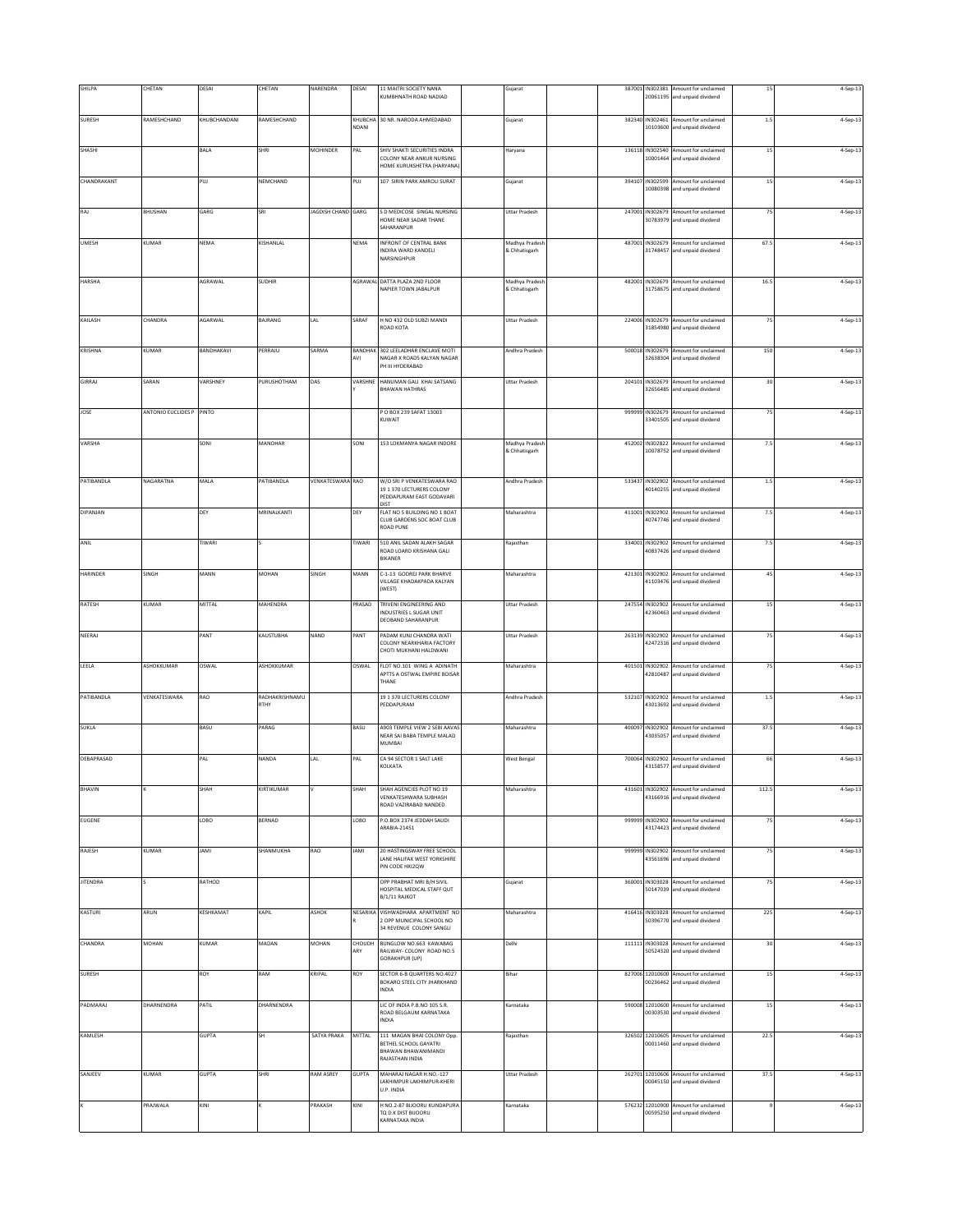| SHILPA          | CHETAN                    | DESAI         | CHETAN                 | NARENDRA                | DESAI          | 11 MAITRI SOCIETY NANA                                      | Gujarat                         |  |                             | 387001 IN302381 Amount for unclaimed                                 | 15      | 4-Sep-13 |
|-----------------|---------------------------|---------------|------------------------|-------------------------|----------------|-------------------------------------------------------------|---------------------------------|--|-----------------------------|----------------------------------------------------------------------|---------|----------|
|                 |                           |               |                        |                         |                | <b>(UMBHNATH ROAD NADIAD</b>                                |                                 |  | 20061195                    | and unpaid dividend                                                  |         |          |
| <b>SURESH</b>   | RAMESHCHAND               | KHUBCHANDANI  | RAMESHCHAND            |                         | KHUBCHA        | 30 NR. NARODA AHMEDABAD                                     | Gujarat                         |  |                             | 382340 IN302461 Amount for unclaimed                                 | $1.5\,$ | 4-Sep-13 |
|                 |                           |               |                        |                         | NDANI          |                                                             |                                 |  | 10103600                    | and unpaid dividend                                                  |         |          |
| SHASHI          |                           | BALA          | SHRI                   | <b>MOHINDER</b>         | PAL            | SHIV SHAKTI SECURITIES INDRA                                | Haryana                         |  |                             | 136118 IN302540 Amount for unclaimed                                 | $15\,$  | 4-Sep-13 |
|                 |                           |               |                        |                         |                | COLONY NEAR ANKUR NURSING<br>HOME KURUKSHETRA (HARYANA)     |                                 |  |                             | 10001464 and unpaid dividend                                         |         |          |
| CHANDRAKANT     |                           | PUJ           | NEMCHAND               |                         | PUJ            | 107 SIRIN PARK AMROLI SURAT                                 | Gujarat                         |  | 394107 IN302599             | Amount for unclaimed                                                 | 15      | 4-Sep-13 |
|                 |                           |               |                        |                         |                |                                                             |                                 |  | 10080398                    | and unpaid dividend                                                  |         |          |
|                 |                           |               | SRI                    |                         |                |                                                             |                                 |  |                             |                                                                      |         |          |
| RAJ             | BHUSHAN                   | GARG          |                        | JAGDISH CHAND GARG      |                | S D MEDICOSE SINGAL NURSING<br>HOME NEAR SADAR THANE        | Uttar Pradesh                   |  |                             | 247001 IN302679 Amount for unclaimed<br>30783979 and unpaid dividend | 75      | 4-Sep-13 |
|                 |                           |               |                        |                         |                | SAHARANPUR                                                  |                                 |  |                             |                                                                      |         |          |
| <b>UMESH</b>    | <b>KUMAR</b>              | NEMA          | KISHANLAL              |                         | NEMA           | INFRONT OF CENTRAL BANK<br>NDIRA WARD KANDELI               | Madhya Pradesh<br>& Chhatisgarh |  | 31748457                    | 487001 IN302679 Amount for unclaimed<br>and unpaid dividend          | 67.5    | 4-Sep-13 |
|                 |                           |               |                        |                         |                | NARSINGHPUR                                                 |                                 |  |                             |                                                                      |         |          |
| HARSHA          |                           | AGRAWAL       | <b>SUDHIR</b>          |                         | AGRAWAL        | DATTA PLAZA 2ND FLOOR                                       | Madhya Pradesh                  |  |                             | 482001 IN302679 Amount for unclaimed                                 | 16.5    | 4-Sep-13 |
|                 |                           |               |                        |                         |                | NAPIER TOWN JABALPUR                                        | & Chhatisgarh                   |  |                             | 31758675 and unpaid dividend                                         |         |          |
|                 |                           |               |                        |                         |                |                                                             |                                 |  |                             |                                                                      |         |          |
| KAILASH         | CHANDRA                   | AGARWAL       | BAJRANG                | LAL                     | SARAF          | H NO 432 OLD SUBZI MANDI<br>ROAD KOTA                       | Uttar Pradesh                   |  |                             | 224006 IN302679 Amount for unclaimed<br>31854980 and unpaid dividend | 75      | 4-Sep-13 |
|                 |                           |               |                        |                         |                |                                                             |                                 |  |                             |                                                                      |         |          |
| KRISHNA         | KUMAR                     | BANDHAKAVI    | PERRAJU                | SARMA                   | <b>BANDHAK</b> | 302 LEELADHAR ENCLAVE MOTI                                  | Andhra Pradesh                  |  | 500018 IN302679             | Amount for unclaimed                                                 | 150     | 4-Sep-13 |
|                 |                           |               |                        |                         | AVI            | NAGAR X ROADS KALYAN NAGAR<br>PH III HYDERABAD              |                                 |  |                             | 32638304 and unpaid dividend                                         |         |          |
| GIRRAJ          | SARAN                     | VARSHNEY      | PURUSHOTHAM            | DAS                     | VARSHNE        | HANUMAN GALI KHAI SATSANG                                   | Uttar Pradesh                   |  | 204101 IN302679             | Amount for unclaimed                                                 | 30      | 4-Sep-13 |
|                 |                           |               |                        |                         |                | <b>BHAWAN HATHRAS</b>                                       |                                 |  | 32656485                    | and unpaid dividend                                                  |         |          |
| JOSE            | <b>ANTONIO EUCLIDES P</b> | PINTO         |                        |                         |                | P O BOX 239 SAFAT 13003                                     |                                 |  | 999999 IN302679             | Amount for unclaimed                                                 | 75      | 4-Sep-13 |
|                 |                           |               |                        |                         |                | KUWAIT                                                      |                                 |  |                             | 33401505 and unpaid dividend                                         |         |          |
| VARSHA          |                           | SONI          | MANOHAR                |                         | SONI           | 153 LOKMANYA NAGAR INDORE                                   | Madhya Pradesh                  |  | 452002 IN302822             | Amount for unclaimed                                                 | 7.5     | 4-Sep-13 |
|                 |                           |               |                        |                         |                |                                                             | & Chhatisgarh                   |  | 10078752                    | and unpaid dividend                                                  |         |          |
|                 |                           |               |                        |                         |                |                                                             |                                 |  |                             |                                                                      |         |          |
| PATIBANDLA      | NAGARATNA                 | MALA          | PATIBANDLA             | <b>VENKATESWARA RAO</b> |                | W/O SRI P VENKATESWARA RAO                                  | Andhra Pradesh                  |  | 533437 IN302902             | Amount for unclaimed                                                 | $1.5\,$ | 4-Sep-13 |
|                 |                           |               |                        |                         |                | 19 1 370 LECTURERS COLONY<br>PEDDAPURAM EAST GODAVARI       |                                 |  |                             | 40140255 and unpaid dividend                                         |         |          |
| DIPANJAN        |                           | DEY           | MRINALKANTI            |                         | DEY            | DIST<br>FLAT NO 5 BUILDING NO 1 BOAT                        | Maharashtra                     |  | 411001 IN302902             | Amount for unclaimed                                                 | 7.5     | 4-Sep-13 |
|                 |                           |               |                        |                         |                | <b>CLUB GARDENS SOC BOAT CLUB</b><br>ROAD PUNE              |                                 |  | 40747746                    | and unpaid dividend                                                  |         |          |
| ANIL            |                           | <b>TIWARI</b> |                        |                         | TIWARI         | 510 ANIL SADAN ALAKH SAGAR                                  | Rajasthan                       |  |                             | 334001 IN302902 Amount for unclaimed                                 | 7.5     | 4-Sep-13 |
|                 |                           |               |                        |                         |                | ROAD LOARD KRISHANA GALI<br><b>BIKANER</b>                  |                                 |  |                             | 40837426 and unpaid dividend                                         |         |          |
| HARINDER        | SINGH                     | MANN          | <b>MOHAN</b>           | SINGH                   | MANN           | C-1-13 GODREJ PARK BHARVE                                   | Maharashtra                     |  | 421301 IN302902             | Amount for unclaimed                                                 | 45      | 4-Sep-13 |
|                 |                           |               |                        |                         |                | VILLAGE KHADAKPADA KALYAN<br>(WEST)                         |                                 |  | 41103476                    | and unpaid dividend                                                  |         |          |
|                 |                           |               |                        |                         |                |                                                             |                                 |  |                             |                                                                      |         |          |
| <b>RATESH</b>   | KUMAR                     | MITTAL        | MAHENDRA               |                         | PRASAD         | TRIVENI ENGINEERING AND<br>INDUSTRIES L SUGAR UNIT          | <b>Uttar Pradesh</b>            |  |                             | 247554 IN302902 Amount for unclaimed<br>42360463 and unpaid dividend | 15      | 4-Sep-13 |
|                 |                           |               |                        |                         |                | DEOBAND SAHARANPUR                                          |                                 |  |                             |                                                                      |         |          |
| NEERAJ          |                           | PANT          | KAUSTUBHA              | NAND                    | PANT           | PADAM KUNJ CHANDRA WATI<br>COLONY NEARKHARIA FACTORY        | <b>Uttar Pradesh</b>            |  | 263139 IN302902             | Amount for unclaimed<br>42472316 and unpaid dividend                 | 75      | 4-Sep-13 |
|                 |                           |               |                        |                         |                | CHOTI MUKHANI HALDWANI                                      |                                 |  |                             |                                                                      |         |          |
| LEELA           | <b>ASHOKKUMAR</b>         | OSWAL         | ASHOKKUMAR             |                         | OSWAL          | FLOT NO.101 WING A ADINATH<br>APTTS A OSTWAL EMPIRE BOISAR  | Maharashtra                     |  | 401501 IN302902<br>42810487 | Amount for unclaimed<br>and unpaid dividend                          | 75      | 4-Sep-13 |
|                 |                           |               |                        |                         |                | THANE                                                       |                                 |  |                             |                                                                      |         |          |
| PATIBANDLA      | VENKATESWARA              | RAO           | RADHAKRISHNAMU<br>RTHY |                         |                | 19 1 370 LECTURERS COLONY<br>PEDDAPURAM                     | Andhra Pradesh                  |  |                             | 532107 IN302902 Amount for unclaimed<br>43013692 and unpaid dividend | 1.5     | 4-Sep-13 |
|                 |                           |               |                        |                         |                |                                                             |                                 |  |                             |                                                                      |         |          |
| <b>SUKLA</b>    |                           | BASU          | PARAG                  |                         | BASU           | A903 TEMPLE VIEW 2 SEBI AAVAS<br>NEAR SAI BABA TEMPLE MALAD | Maharashtra                     |  | 13035057                    | 400097 IN302902 Amount for unclaimed<br>and unpaid dividend          | 37.5    | 4-Sep-13 |
|                 |                           |               |                        |                         |                | MUMBAI                                                      |                                 |  |                             |                                                                      |         |          |
| DEBAPRASAD      |                           | PAL           | NANDA                  | LAL                     | PAL            | CA 94 SECTOR 1 SALT LAKE                                    | West Bengal                     |  |                             | 700064 IN302902 Amount for unclaimed                                 | 66      | 4-Sep-13 |
|                 |                           |               |                        |                         |                | KOLKATA                                                     |                                 |  |                             | 43158577 and unpaid dividend                                         |         |          |
| <b>BHAVIN</b>   |                           | SHAH          | KIRTIKUMAR             |                         | SHAH           | SHAH AGENCIES PLOT NO 19                                    | Maharashtra                     |  | 431601 IN302902             | Amount for unclaimed                                                 | 112.5   | 4-Sep-13 |
|                 |                           |               |                        |                         |                | <b>VENKATESHWARA SURHASH</b><br>ROAD VAZIRABAD NANDED       |                                 |  |                             | 43166916 and unpaid dividend                                         |         |          |
| EUGENE          |                           | <b>OBO</b>    | BERNAD                 |                         | LOBO           | P.O.BOX 2374 JEDDAH SAUDI                                   |                                 |  | 999999 IN302902             | Amount for unclaimed                                                 | 75      | 4-Sep-13 |
|                 |                           |               |                        |                         |                | ARABIA-21451                                                |                                 |  | 43174423                    | and unpaid dividend                                                  |         |          |
| RAJESH          | <b>KUMAR</b>              | <b>JAMI</b>   | SHANMUKHA              | RAO                     | <b>JAMI</b>    | 20 HASTINGSWAY FREE SCHOOL                                  |                                 |  |                             | 999999 IN302902 Amount for unclaimed                                 | 75      | 4-Sep-13 |
|                 |                           |               |                        |                         |                | LANE HALIFAX WEST YORKSHIRE<br>PIN CODE HXI2QW              |                                 |  | 43561696                    | and unpaid dividend                                                  |         |          |
|                 |                           |               |                        |                         |                |                                                             |                                 |  |                             |                                                                      |         |          |
| <b>JITENDRA</b> |                           | RATHOD        |                        |                         |                | OPP PRABHAT MRI B/H SIVIL<br>HOSPITAL MEDICAL STAFF QUT     | Gujarat                         |  | 360001 IN303028<br>50147039 | Amount for unclaimed<br>and unpaid dividend                          | 75      | 4-Sep-13 |
|                 |                           |               |                        |                         |                | B/1/11 RAJKOT                                               |                                 |  |                             |                                                                      |         |          |
| KASTURI         | ARUN                      | KESHKAMAT     | KAPIL                  | ASHOK                   | NESARIKA       | VISHWADHARA APARTMENT NO<br>2 OPP MUNICIPAL SCHOOL NO       | Maharashtra                     |  | 50396770                    | 416416 IN303028 Amount for unclaimed<br>and unpaid dividend          | 225     | 4-Sep-13 |
|                 |                           |               |                        |                         |                | 34 REVENUE COLONY SANGLI                                    |                                 |  |                             |                                                                      |         |          |
| CHANDRA         | MOHAN                     | KUMAR         | MADAN                  | MOHAN                   | CHOUDH<br>ARY  | BUNGLOW NO.663 KAWABAG<br>RAILWAY- COLONY ROAD NO.5         | Delhi                           |  |                             | 111111 IN303028 Amount for unclaimed<br>50524320 and unpaid dividend | 30      | 4-Sep-13 |
|                 |                           |               |                        |                         |                | GORAKHPUR (UP)                                              |                                 |  |                             |                                                                      |         |          |
| <b>SURESH</b>   |                           | ROY           | RAM                    | KRIPAL                  | ROY            | SECTOR 6-B QUARTERS NO.4027<br>BOKARO STEEL CITY JHARKHAND  | Bihar                           |  | 827006 12010600<br>00236462 | Amount for unclaimed<br>and unpaid dividend                          | 15      | 4-Sep-13 |
|                 |                           |               |                        |                         |                | INDIA                                                       |                                 |  |                             |                                                                      |         |          |
| PADMARAJ        | DHARNENDRA                | PATIL         | DHARNENDRA             |                         |                | LIC OF INDIA P.B.NO 105 S.R.                                | Karnataka                       |  |                             | 590008 12010600 Amount for unclaimed                                 | $15\,$  | 4-Sep-13 |
|                 |                           |               |                        |                         |                | ROAD BELGAUM KARNATAKA<br>INDIA                             |                                 |  |                             | 00303530 and unpaid dividend                                         |         |          |
| KAMLESH         |                           | <b>GUPTA</b>  | SH                     | SATYA PRAKA             | MITTAL         | 111 MAGAN BHAI COLONY Opp.                                  | Rajasthan                       |  |                             | 326502 12010605 Amount for unclaimed                                 | 22.5    | 4-Sep-13 |
|                 |                           |               |                        |                         |                | BETHEL SCHOOL GAYATRI<br>BHAWAN BHAWANIMANDI                |                                 |  |                             | 00011460 and unpaid dividend                                         |         |          |
|                 |                           |               |                        |                         |                | RAJASTHAN INDIA                                             |                                 |  |                             |                                                                      |         |          |
| SANJEEV         | KUMAR                     | <b>GUPTA</b>  | SHRI                   | RAM ASREY               | <b>GUPTA</b>   | MAHARAJ NAGAR H.NO.-127<br>LAKHIMPUR LAKHIMPUR-KHERI        | <b>Uttar Pradesh</b>            |  |                             | 262701 12010606 Amount for unclaimed<br>00045150 and unpaid dividend | 37.5    | 4-Sep-13 |
|                 |                           |               |                        |                         |                | U.P. INDIA                                                  |                                 |  |                             |                                                                      |         |          |
|                 | <b>PRAJWALA</b>           | KINI          |                        | PRAKASH                 | KINI           | H NO.2-87 BIJOORU KUNDAPURA<br>TO D.K DIST BIJOORU          | Karnataka                       |  | 576232 12010900<br>00595250 | Amount for unclaimed<br>and unpaid dividend                          |         | 4-Sep-13 |
|                 |                           |               |                        |                         |                | KARNATAKA INDIA                                             |                                 |  |                             |                                                                      |         |          |